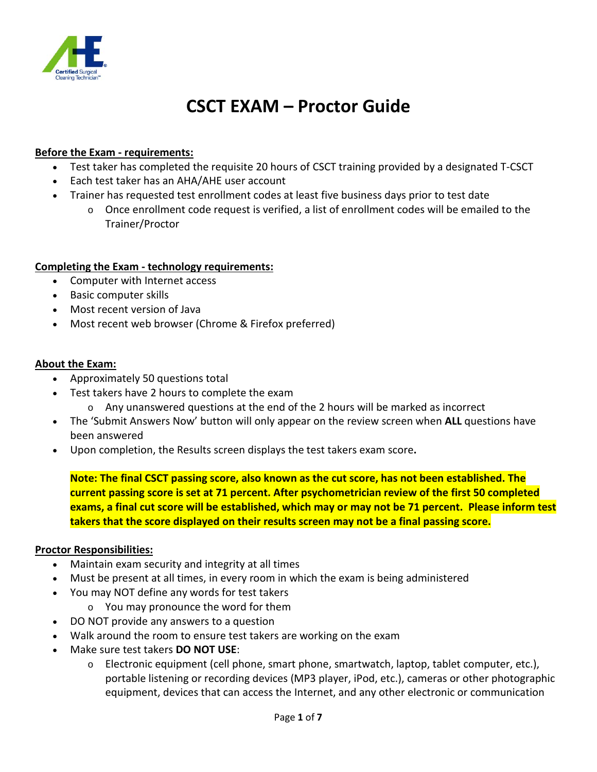

## **CSCT EXAM – Proctor Guide**

#### **Before the Exam - requirements:**

- Test taker has completed the requisite 20 hours of CSCT training provided by a designated T-CSCT
- Each test taker has an AHA/AHE user account
- Trainer has requested test enrollment codes at least five business days prior to test date
	- $\circ$  Once enrollment code request is verified, a list of enrollment codes will be emailed to the Trainer/Proctor

#### **Completing the Exam - technology requirements:**

- Computer with Internet access
- Basic computer skills
- Most recent version of Java
- Most recent web browser (Chrome & Firefox preferred)

#### **About the Exam:**

- Approximately 50 questions total
- Test takers have 2 hours to complete the exam
	- $\circ$  Any unanswered questions at the end of the 2 hours will be marked as incorrect
- The 'Submit Answers Now' button will only appear on the review screen when **ALL** questions have been answered
- Upon completion, the Results screen displays the test takers exam score**.**

**Note: The final CSCT passing score, also known as the cut score, has not been established. The current passing score is set at 71 percent. After psychometrician review of the first 50 completed exams, a final cut score will be established, which may or may not be 71 percent. Please inform test takers that the score displayed on their results screen may not be a final passing score.**

#### **Proctor Responsibilities:**

- Maintain exam security and integrity at all times
- Must be present at all times, in every room in which the exam is being administered
- You may NOT define any words for test takers
	- o You may pronounce the word for them
- DO NOT provide any answers to a question
- Walk around the room to ensure test takers are working on the exam
- Make sure test takers **DO NOT USE**:
	- $\circ$  Electronic equipment (cell phone, smart phone, smartwatch, laptop, tablet computer, etc.), portable listening or recording devices (MP3 player, iPod, etc.), cameras or other photographic equipment, devices that can access the Internet, and any other electronic or communication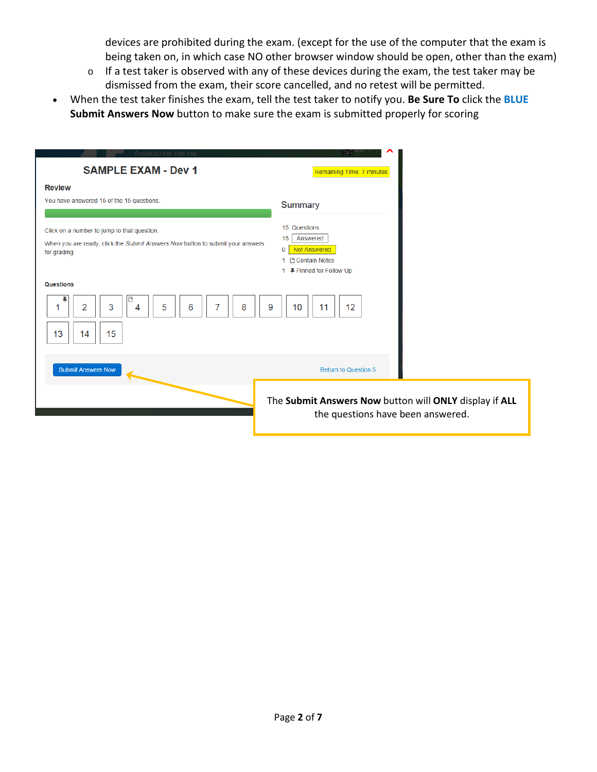devices are prohibited during the exam. (except for the use of the computer that the exam is being taken on, in which case NO other browser window should be open, other than the exam)

- o If a test taker is observed with any of these devices during the exam, the test taker may be dismissed from the exam, their score cancelled, and no retest will be permitted.
- When the test taker finishes the exam, tell the test taker to notify you. **Be Sure To** click the **BLUE Submit Answers Now** button to make sure the exam is submitted properly for scoring

| Association for the<br><b>SAMPLE EXAM - Dev 1</b>                                                                                            | Remaining Time: 7 minutes                                                                                   |
|----------------------------------------------------------------------------------------------------------------------------------------------|-------------------------------------------------------------------------------------------------------------|
| <b>Review</b><br>You have answered 15 of the 15 questions.                                                                                   | Summary                                                                                                     |
| Click on a number to jump to that question.<br>When you are ready, click the Submit Answers Now button to submit your answers<br>for grading | 15 Questions<br>15<br>Answered<br><b>Not Answered</b><br>0<br>1 B Contain Notes<br>1 平 Pinned for Follow Up |
| <b>Questions</b><br>3<br>5<br>8<br>9<br>2<br>6<br>4<br>15<br>13<br>14                                                                        | 12<br>10<br>11                                                                                              |
| <b>Submit Answers Now</b>                                                                                                                    | Return to Question 5                                                                                        |
|                                                                                                                                              | The Submit Answers Now button will ONLY display if ALL<br>the questions have been answered.                 |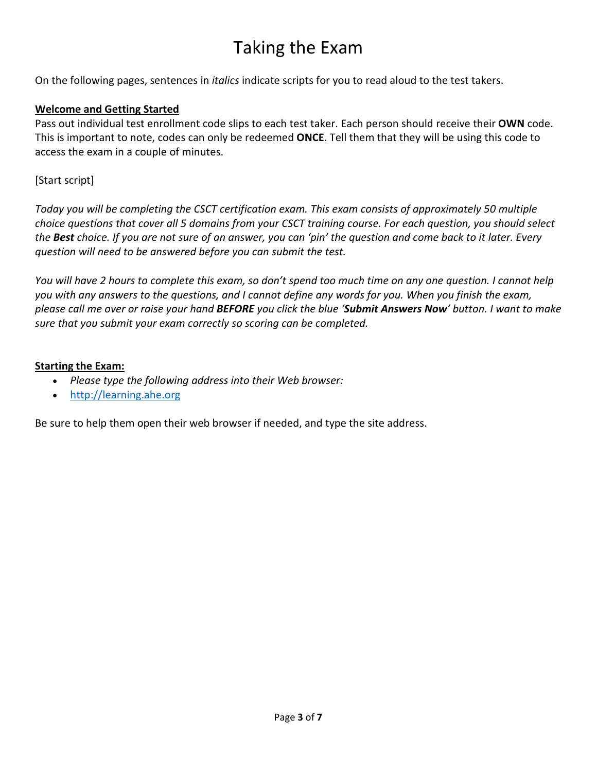# Taking the Exam

On the following pages, sentences in *italics* indicate scripts for you to read aloud to the test takers.

## **Welcome and Getting Started**

Pass out individual test enrollment code slips to each test taker. Each person should receive their **OWN** code. This is important to note, codes can only be redeemed **ONCE**. Tell them that they will be using this code to access the exam in a couple of minutes.

## [Start script]

*Today you will be completing the CSCT certification exam. This exam consists of approximately 50 multiple choice questions that cover all 5 domains from your CSCT training course. For each question, you should select the Best choice. If you are not sure of an answer, you can 'pin' the question and come back to it later. Every question will need to be answered before you can submit the test.*

*You will have 2 hours to complete this exam, so don't spend too much time on any one question. I cannot help you with any answers to the questions, and I cannot define any words for you. When you finish the exam, please call me over or raise your hand BEFORE you click the blue 'Submit Answers Now' button. I want to make sure that you submit your exam correctly so scoring can be completed.*

#### **Starting the Exam:**

- *Please type the following address into their Web browser:*
- [http://learning.ahe.org](http://learning.ahe.org/)

Be sure to help them open their web browser if needed, and type the site address.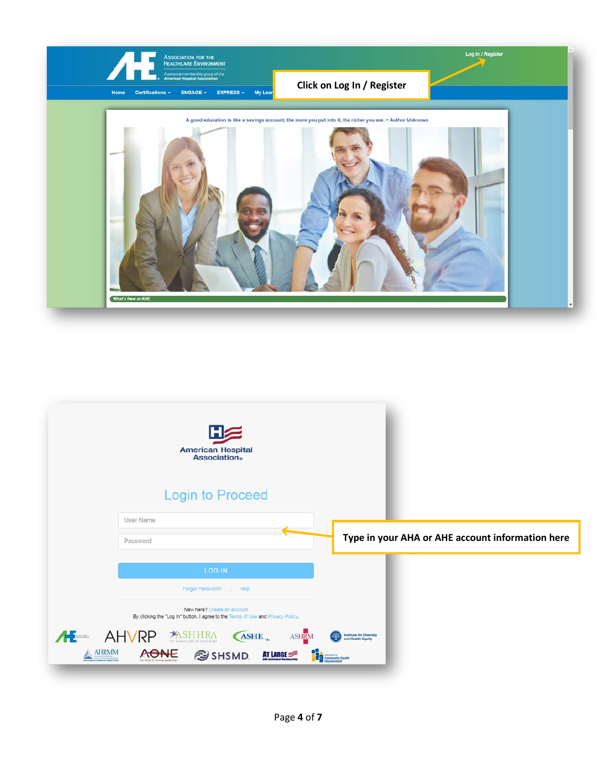

| <b>American Hospital</b><br><b>Association</b> ®                                                                |                                                                                       |
|-----------------------------------------------------------------------------------------------------------------|---------------------------------------------------------------------------------------|
| <b>Login to Proceed</b>                                                                                         |                                                                                       |
| <b>User Name</b>                                                                                                |                                                                                       |
| Password                                                                                                        | Type in your AHA or AHE account information here                                      |
| <b>LOG IN</b>                                                                                                   |                                                                                       |
| Forgot Password?<br>Help                                                                                        |                                                                                       |
| New here? Create an account<br>By clicking the "Log In" button, I agree to the Terms of Use and Privacy Policy. |                                                                                       |
| AL- AHVRP<br>ASHE,<br>ASHRM<br>AHRMM<br>AONE<br>SHSMD.<br>AT LARGE                                              | <b>Institute for Diversity<br/>and Health Equity</b><br><b>E. R.</b> Community Health |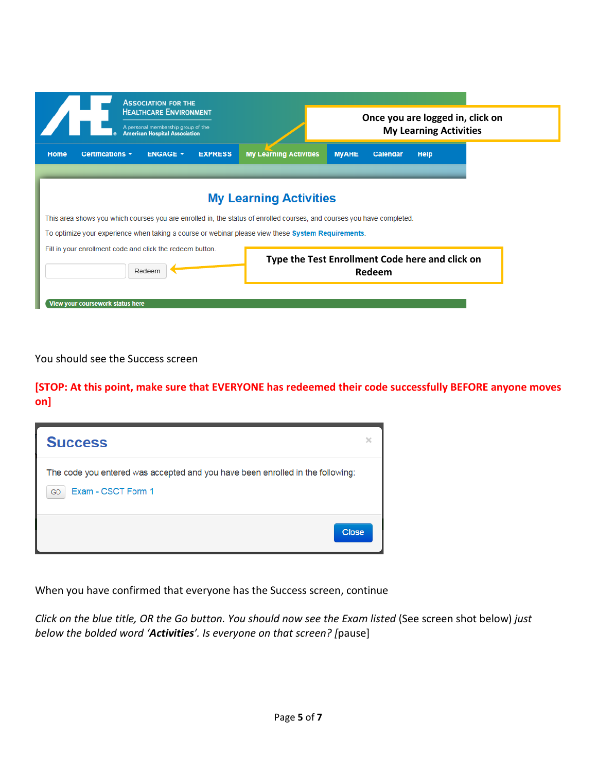|                                                                                                                                                         | <b>ASSOCIATION FOR THE</b><br><b>HEALTHCARE ENVIRONMENT</b><br>A personal membership group of the<br><b>American Hospital Association</b> |                                                                                                            |                                                 |          | Once you are logged in, click on<br><b>My Learning Activities</b> |  |
|---------------------------------------------------------------------------------------------------------------------------------------------------------|-------------------------------------------------------------------------------------------------------------------------------------------|------------------------------------------------------------------------------------------------------------|-------------------------------------------------|----------|-------------------------------------------------------------------|--|
| Certifications -<br>Home                                                                                                                                | <b>ENGAGE *</b>                                                                                                                           | <b>My Learning Activities</b><br><b>EXPRESS</b>                                                            | <b>MyAHE</b>                                    | Calendar | <b>Help</b>                                                       |  |
| <b>My Learning Activities</b><br>This area shows you which courses you are enrolled in, the status of enrolled courses, and courses you have completed. |                                                                                                                                           |                                                                                                            |                                                 |          |                                                                   |  |
|                                                                                                                                                         |                                                                                                                                           | To optimize your experience when taking a course or webinar please view these <b>System Requirements</b> . |                                                 |          |                                                                   |  |
| Fill in your enrollment code and click the redeem button.                                                                                               | Redeem                                                                                                                                    |                                                                                                            | Type the Test Enrollment Code here and click on | Redeem   |                                                                   |  |

You should see the Success screen

**[STOP: At this point, make sure that EVERYONE has redeemed their code successfully BEFORE anyone moves on]**

| <b>Success</b>                                                                                             |  |
|------------------------------------------------------------------------------------------------------------|--|
| The code you entered was accepted and you have been enrolled in the following:<br>Exam - CSCT Form 1<br>GO |  |
| Close                                                                                                      |  |

When you have confirmed that everyone has the Success screen, continue

*Click on the blue title, OR the Go button. You should now see the Exam listed* (See screen shot below) *just below the bolded word 'Activities'. Is everyone on that screen? [*pause]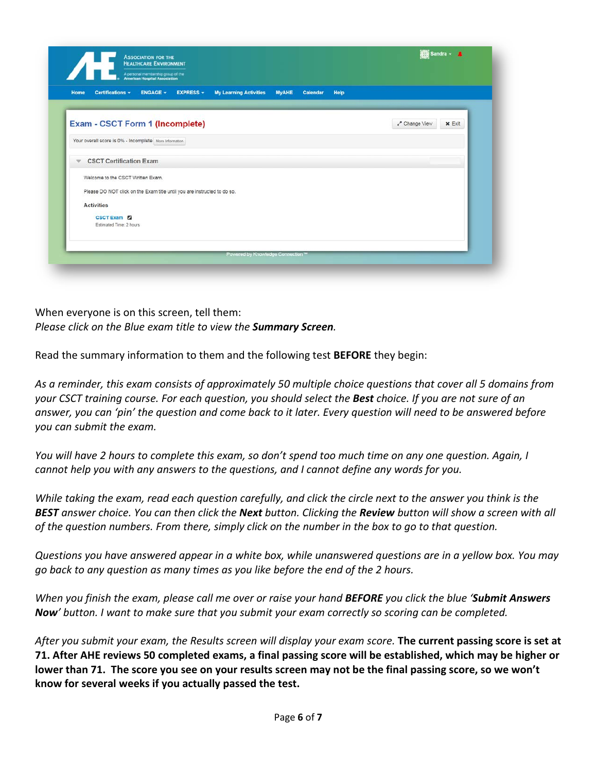| Certifications -<br><b>ENGAGE -</b><br><b>EXPRESS -</b><br>Home          | <b>My Learning Activities</b> | <b>MyAHE</b><br>Calendar | Help |                              |
|--------------------------------------------------------------------------|-------------------------------|--------------------------|------|------------------------------|
| Exam - CSCT Form 1 (Incomplete)                                          |                               |                          |      | Change View<br>$\times$ Exit |
| Your overall score is 0% - Incomplete More Information                   |                               |                          |      |                              |
| <b>CSCT Certification Exam</b><br>w                                      |                               |                          |      |                              |
| Welcome to the CSCT Written Exam.                                        |                               |                          |      |                              |
| Please DO NOT click on the Exam title until you are instructed to do so. |                               |                          |      |                              |
| <b>Activities</b>                                                        |                               |                          |      |                              |
| <b>CSCT Exam 2</b>                                                       |                               |                          |      |                              |
| Estimated Time: 2 hours                                                  |                               |                          |      |                              |
|                                                                          |                               |                          |      |                              |

When everyone is on this screen, tell them: *Please click on the Blue exam title to view the Summary Screen.*

Read the summary information to them and the following test **BEFORE** they begin:

*As a reminder, this exam consists of approximately 50 multiple choice questions that cover all 5 domains from your CSCT training course. For each question, you should select the Best choice. If you are not sure of an answer, you can 'pin' the question and come back to it later. Every question will need to be answered before you can submit the exam.*

*You will have 2 hours to complete this exam, so don't spend too much time on any one question. Again, I cannot help you with any answers to the questions, and I cannot define any words for you.* 

*While taking the exam, read each question carefully, and click the circle next to the answer you think is the BEST answer choice. You can then click the Next button. Clicking the Review button will show a screen with all of the question numbers. From there, simply click on the number in the box to go to that question.*

*Questions you have answered appear in a white box, while unanswered questions are in a yellow box. You may go back to any question as many times as you like before the end of the 2 hours.*

*When you finish the exam, please call me over or raise your hand BEFORE you click the blue 'Submit Answers Now' button. I want to make sure that you submit your exam correctly so scoring can be completed.*

*After you submit your exam, the Results screen will display your exam score.* **The current passing score is set at 71. After AHE reviews 50 completed exams, a final passing score will be established, which may be higher or lower than 71. The score you see on your results screen may not be the final passing score, so we won't know for several weeks if you actually passed the test.**